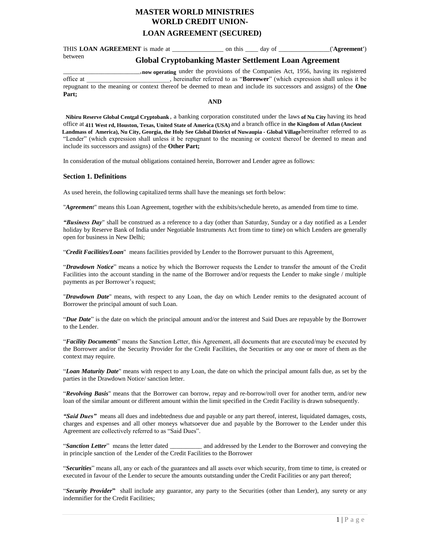# **LOAN AGREEMENT (SECURED) MASTER WORLD MINISTRIES WORLD CREDIT UNION-**

THIS **LOAN AGREEMENT** is made at \_\_\_\_\_\_\_\_\_\_\_\_\_\_\_\_ on this \_\_\_\_ day of \_\_\_\_\_\_\_\_\_\_\_\_\_\_\_\_('**Agreement'**) between

# **Global Cryptobanking Master Settlement Loan Agreement**

**now operating** under the provisions of the Companies Act, 1956, having its registered provisions of the Companies Act, 1956, having its registered office at \_\_\_\_\_\_\_\_\_\_\_\_\_\_\_\_\_\_\_\_\_\_\_\_\_\_, hereinafter referred to as "**Borrower**" (which expression shall unless it be repugnant to the meaning or context thereof be deemed to mean and include its successors and assigns) of the **One Part;** 

**AND**

Nibiru Reserve Global Central Cryptobank, a banking corporation constituted under the laws of Nu City having its head office at 411 West rd, Houston, Texas, United State of America (USA) and a branch office in the Kingdom of Atlan (Ancient Landmass of America), Nu City, Georgia, the Holy See Global District of Nuwaupia - Global Villagehereinafter referred to as "Lender" (which expression shall unless it be repugnant to the meaning or context thereof be deemed to mean and include its successors and assigns) of the **Other Part;**

In consideration of the mutual obligations contained herein, Borrower and Lender agree as follows:

# **Section 1. Definitions**

As used herein, the following capitalized terms shall have the meanings set forth below:

"*Agreement*" means this Loan Agreement, together with the exhibits/schedule hereto, as amended from time to time.

*"Business Day*" shall be construed as a reference to a day (other than Saturday, Sunday or a day notified as a Lender holiday by Reserve Bank of India under Negotiable Instruments Act from time to time) on which Lenders are generally open for business in New Delhi;

"*Credit Facilities/Loan*" means facilities provided by Lender to the Borrower pursuant to this Agreement.

"*Drawdown Notice*" means a notice by which the Borrower requests the Lender to transfer the amount of the Credit Facilities into the account standing in the name of the Borrower and/or requests the Lender to make single / multiple payments as per Borrower's request;

"*Drawdown Date*" means, with respect to any Loan, the day on which Lender remits to the designated account of Borrower the principal amount of such Loan.

"*Due Date*" is the date on which the principal amount and/or the interest and Said Dues are repayable by the Borrower to the Lender.

"*Facility Documents*" means the Sanction Letter, this Agreement, all documents that are executed/may be executed by the Borrower and/or the Security Provider for the Credit Facilities, the Securities or any one or more of them as the context may require.

"*Loan Maturity Date*" means with respect to any Loan, the date on which the principal amount falls due, as set by the parties in the Drawdown Notice/ sanction letter.

"*Revolving Basis*" means that the Borrower can borrow, repay and re-borrow/roll over for another term, and/or new loan of the similar amount or different amount within the limit specified in the Credit Facility is drawn subsequently.

*"Said Dues"* means all dues and indebtedness due and payable or any part thereof, interest, liquidated damages, costs, charges and expenses and all other moneys whatsoever due and payable by the Borrower to the Lender under this Agreement are collectively referred to as "Said Dues".

"*Sanction Letter*" means the letter dated \_\_\_\_\_\_\_\_\_\_ and addressed by the Lender to the Borrower and conveying the in principle sanction of the Lender of the Credit Facilities to the Borrower

"*Securities*" means all, any or each of the guarantees and all assets over which security, from time to time, is created or executed in favour of the Lender to secure the amounts outstanding under the Credit Facilities or any part thereof;

"*Security Provider***"** shall include any guarantor, any party to the Securities (other than Lender), any surety or any indemnifier for the Credit Facilities;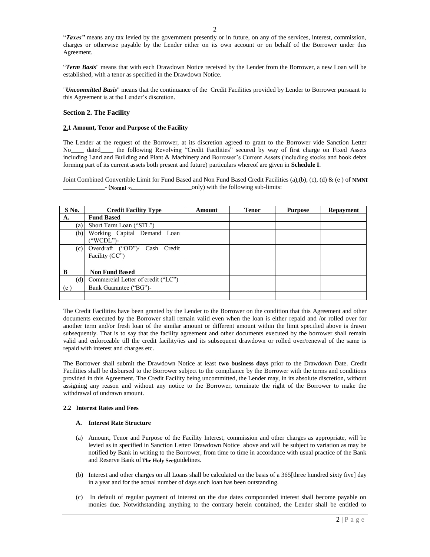"*Taxes"* means any tax levied by the government presently or in future, on any of the services, interest, commission, charges or otherwise payable by the Lender either on its own account or on behalf of the Borrower under this Agreement.

"*Term Basis*" means that with each Drawdown Notice received by the Lender from the Borrower, a new Loan will be established, with a tenor as specified in the Drawdown Notice.

"*Uncommitted Basis*" means that the continuance of the Credit Facilities provided by Lender to Borrower pursuant to this Agreement is at the Lender's discretion.

## **Section 2. The Facility**

## **2.1 Amount, Tenor and Purpose of the Facility**

The Lender at the request of the Borrower, at its discretion agreed to grant to the Borrower vide Sanction Letter No\_\_\_\_ dated\_\_\_\_ the following Revolving "Credit Facilities" secured by way of first charge on Fixed Assets including Land and Building and Plant & Machinery and Borrower's Current Assets (including stocks and book debts forming part of its current assets both present and future) particulars whereof are given in **Schedule I**.

Joint Combined Convertible Limit for Fund Based and Non Fund Based Credit Facilities (a),(b), (c), (d) & (e) of NMNI  $\Box$  only) with the following sub-limits: **Nomni ∞**

| S No. | <b>Credit Facility Type</b>                     | Amount | <b>Tenor</b> | <b>Purpose</b> | <b>Repayment</b> |
|-------|-------------------------------------------------|--------|--------------|----------------|------------------|
| A.    | <b>Fund Based</b>                               |        |              |                |                  |
| (a)   | Short Term Loan ("STL")                         |        |              |                |                  |
| (b)   | Working Capital Demand Loan<br>("WCDL")-        |        |              |                |                  |
| (c)   | Overdraft ("OD")/ Cash Credit<br>Facility (CC") |        |              |                |                  |
|       |                                                 |        |              |                |                  |
| B     | <b>Non Fund Based</b>                           |        |              |                |                  |
| (d)   | Commercial Letter of credit ("LC")              |        |              |                |                  |
| (e)   | Bank Guarantee ("BG")-                          |        |              |                |                  |
|       |                                                 |        |              |                |                  |

The Credit Facilities have been granted by the Lender to the Borrower on the condition that this Agreement and other documents executed by the Borrower shall remain valid even when the loan is either repaid and /or rolled over for another term and/or fresh loan of the similar amount or different amount within the limit specified above is drawn subsequently. That is to say that the facility agreement and other documents executed by the borrower shall remain valid and enforceable till the credit facility/ies and its subsequent drawdown or rolled over/renewal of the same is repaid with interest and charges etc.

The Borrower shall submit the Drawdown Notice at least **two business days** prior to the Drawdown Date. Credit Facilities shall be disbursed to the Borrower subject to the compliance by the Borrower with the terms and conditions provided in this Agreement. The Credit Facility being uncommitted, the Lender may, in its absolute discretion, without assigning any reason and without any notice to the Borrower, terminate the right of the Borrower to make the withdrawal of undrawn amount.

## **2.2 Interest Rates and Fees**

## **A. Interest Rate Structure**

- (a) Amount, Tenor and Purpose of the Facility Interest, commission and other charges as appropriate, will be levied as in specified in Sanction Letter/ Drawdown Notice above and will be subject to variation as may be notified by Bank in writing to the Borrower, from time to time in accordance with usual practice of the Bank and Reserve Bank of The Holy Seeguidelines.
- (b) Interest and other charges on all Loans shall be calculated on the basis of a 365[three hundred sixty five] day in a year and for the actual number of days such loan has been outstanding.
- (c) In default of regular payment of interest on the due dates compounded interest shall become payable on monies due. Notwithstanding anything to the contrary herein contained, the Lender shall be entitled to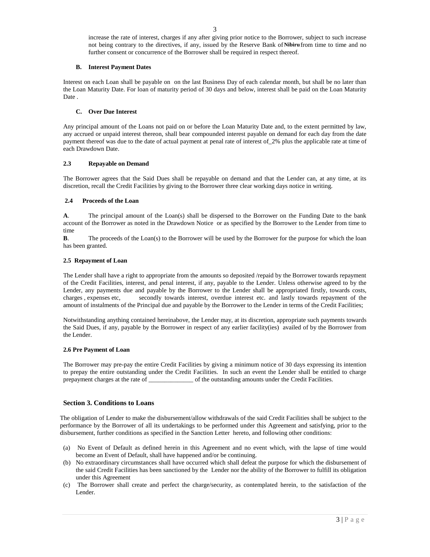increase the rate of interest, charges if any after giving prior notice to the Borrower, subject to such increase not being contrary to the directives, if any, issued by the Reserve Bank of Nibiru from time to time and no further consent or concurrence of the Borrower shall be required in respect thereof.

## **B. Interest Payment Dates**

Interest on each Loan shall be payable on on the last Business Day of each calendar month, but shall be no later than the Loan Maturity Date. For loan of maturity period of 30 days and below, interest shall be paid on the Loan Maturity Date .

# **C. Over Due Interest**

Any principal amount of the Loans not paid on or before the Loan Maturity Date and, to the extent permitted by law, any accrued or unpaid interest thereon, shall bear compounded interest payable on demand for each day from the date payment thereof was due to the date of actual payment at penal rate of interest of\_2% plus the applicable rate at time of each Drawdown Date.

# **2.3 Repayable on Demand**

The Borrower agrees that the Said Dues shall be repayable on demand and that the Lender can, at any time, at its discretion, recall the Credit Facilities by giving to the Borrower three clear working days notice in writing.

# **2.4 Proceeds of the Loan**

**A**. The principal amount of the Loan(s) shall be dispersed to the Borrower on the Funding Date to the bank account of the Borrower as noted in the Drawdown Notice or as specified by the Borrower to the Lender from time to time

**B**. The proceeds of the Loan(s) to the Borrower will be used by the Borrower for the purpose for which the loan has been granted.

## **2.5 Repayment of Loan**

The Lender shall have a right to appropriate from the amounts so deposited /repaid by the Borrower towards repayment of the Credit Facilities, interest, and penal interest, if any, payable to the Lender. Unless otherwise agreed to by the Lender, any payments due and payable by the Borrower to the Lender shall be appropriated firstly, towards costs, charges , expenses etc, secondly towards interest, overdue interest etc. and lastly towards repayment of the amount of instalments of the Principal due and payable by the Borrower to the Lender in terms of the Credit Facilities;

Notwithstanding anything contained hereinabove, the Lender may, at its discretion, appropriate such payments towards the Said Dues, if any, payable by the Borrower in respect of any earlier facility(ies) availed of by the Borrower from the Lender.

## **2.6 Pre Payment of Loan**

The Borrower may pre-pay the entire Credit Facilities by giving a minimum notice of 30 days expressing its intention to prepay the entire outstanding under the Credit Facilities. In such an event the Lender shall be entitled to charge prepayment charges at the rate of \_\_\_\_\_\_\_\_\_\_\_\_\_\_ of the outstanding amounts under the Credit Facilities.

# **Section 3. Conditions to Loans**

The obligation of Lender to make the disbursement/allow withdrawals of the said Credit Facilities shall be subject to the performance by the Borrower of all its undertakings to be performed under this Agreement and satisfying, prior to the disbursement, further conditions as specified in the Sanction Letter hereto, and following other conditions:

- (a) No Event of Default as defined herein in this Agreement and no event which, with the lapse of time would become an Event of Default, shall have happened and/or be continuing.
- (b) No extraordinary circumstances shall have occurred which shall defeat the purpose for which the disbursement of the said Credit Facilities has been sanctioned by the Lender nor the ability of the Borrower to fulfill its obligation under this Agreement
- (c) The Borrower shall create and perfect the charge/security, as contemplated herein, to the satisfaction of the Lender.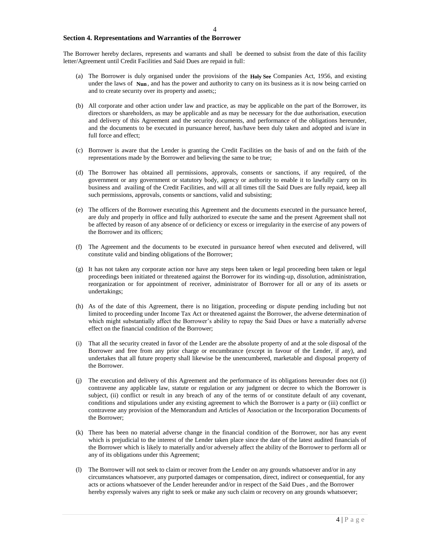## **Section 4. Representations and Warranties of the Borrower**

The Borrower hereby declares, represents and warrants and shall be deemed to subsist from the date of this facility letter/Agreement until Credit Facilities and Said Dues are repaid in full:

- (a) The Borrower is duly organised under the provisions of the Holy See Companies Act, 1956, and existing under the laws of Nun, and has the power and authority to carry on its business as it is now being carried on and to create security over its property and assets;;
- (b) All corporate and other action under law and practice, as may be applicable on the part of the Borrower, its directors or shareholders, as may be applicable and as may be necessary for the due authorisation, execution and delivery of this Agreement and the security documents, and performance of the obligations hereunder, and the documents to be executed in pursuance hereof, has/have been duly taken and adopted and is/are in full force and effect;
- (c) Borrower is aware that the Lender is granting the Credit Facilities on the basis of and on the faith of the representations made by the Borrower and believing the same to be true;
- (d) The Borrower has obtained all permissions, approvals, consents or sanctions, if any required, of the government or any government or statutory body, agency or authority to enable it to lawfully carry on its business and availing of the Credit Facilities, and will at all times till the Said Dues are fully repaid, keep all such permissions, approvals, consents or sanctions, valid and subsisting;
- (e) The officers of the Borrower executing this Agreement and the documents executed in the pursuance hereof, are duly and properly in office and fully authorized to execute the same and the present Agreement shall not be affected by reason of any absence of or deficiency or excess or irregularity in the exercise of any powers of the Borrower and its officers;
- (f) The Agreement and the documents to be executed in pursuance hereof when executed and delivered, will constitute valid and binding obligations of the Borrower;
- (g) It has not taken any corporate action nor have any steps been taken or legal proceeding been taken or legal proceedings been initiated or threatened against the Borrower for its winding-up, dissolution, administration, reorganization or for appointment of receiver, administrator of Borrower for all or any of its assets or undertakings;
- (h) As of the date of this Agreement, there is no litigation, proceeding or dispute pending including but not limited to proceeding under Income Tax Act or threatened against the Borrower, the adverse determination of which might substantially affect the Borrower's ability to repay the Said Dues or have a materially adverse effect on the financial condition of the Borrower;
- (i) That all the security created in favor of the Lender are the absolute property of and at the sole disposal of the Borrower and free from any prior charge or encumbrance (except in favour of the Lender, if any), and undertakes that all future property shall likewise be the unencumbered, marketable and disposal property of the Borrower.
- (j) The execution and delivery of this Agreement and the performance of its obligations hereunder does not (i) contravene any applicable law, statute or regulation or any judgment or decree to which the Borrower is subject, (ii) conflict or result in any breach of any of the terms of or constitute default of any covenant, conditions and stipulations under any existing agreement to which the Borrower is a party or (iii) conflict or contravene any provision of the Memorandum and Articles of Association or the Incorporation Documents of the Borrower;
- (k) There has been no material adverse change in the financial condition of the Borrower, nor has any event which is prejudicial to the interest of the Lender taken place since the date of the latest audited financials of the Borrower which is likely to materially and/or adversely affect the ability of the Borrower to perform all or any of its obligations under this Agreement;
- (l) The Borrower will not seek to claim or recover from the Lender on any grounds whatsoever and/or in any circumstances whatsoever, any purported damages or compensation, direct, indirect or consequential, for any acts or actions whatsoever of the Lender hereunder and/or in respect of the Said Dues , and the Borrower hereby expressly waives any right to seek or make any such claim or recovery on any grounds whatsoever;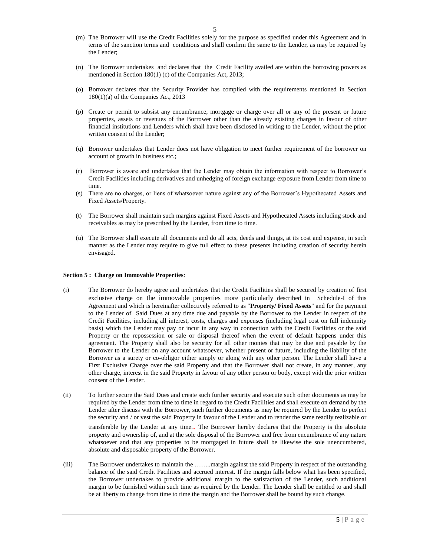- (m) The Borrower will use the Credit Facilities solely for the purpose as specified under this Agreement and in terms of the sanction terms and conditions and shall confirm the same to the Lender, as may be required by the Lender;
- (n) The Borrower undertakes and declares that the Credit Facility availed are within the borrowing powers as mentioned in Section 180(1) (c) of the Companies Act, 2013;
- (o) Borrower declares that the Security Provider has complied with the requirements mentioned in Section 180(1)(a) of the Companies Act, 2013
- (p) Create or permit to subsist any encumbrance, mortgage or charge over all or any of the present or future properties, assets or revenues of the Borrower other than the already existing charges in favour of other financial institutions and Lenders which shall have been disclosed in writing to the Lender, without the prior written consent of the Lender;
- (q) Borrower undertakes that Lender does not have obligation to meet further requirement of the borrower on account of growth in business etc.;
- (r) Borrower is aware and undertakes that the Lender may obtain the information with respect to Borrower's Credit Facilities including derivatives and unhedging of foreign exchange exposure from Lender from time to time.
- (s) There are no charges, or liens of whatsoever nature against any of the Borrower's Hypothecated Assets and Fixed Assets/Property.
- (t) The Borrower shall maintain such margins against Fixed Assets and Hypothecated Assets including stock and receivables as may be prescribed by the Lender, from time to time.
- (u) The Borrower shall execute all documents and do all acts, deeds and things, at its cost and expense, in such manner as the Lender may require to give full effect to these presents including creation of security herein envisaged.

#### **Section 5 : Charge on Immovable Properties**:

- (i) The Borrower do hereby agree and undertakes that the Credit Facilities shall be secured by creation of first exclusive charge on the immovable properties more particularly described in Schedule-I of this Agreement and which is hereinafter collectively referred to as "**Property/ Fixed Assets**" and for the payment to the Lender of Said Dues at any time due and payable by the Borrower to the Lender in respect of the Credit Facilities, including all interest, costs, charges and expenses (including legal cost on full indemnity basis) which the Lender may pay or incur in any way in connection with the Credit Facilities or the said Property or the repossession or sale or disposal thereof when the event of default happens under this agreement. The Property shall also be security for all other monies that may be due and payable by the Borrower to the Lender on any account whatsoever, whether present or future, including the liability of the Borrower as a surety or co-obligor either simply or along with any other person. The Lender shall have a First Exclusive Charge over the said Property and that the Borrower shall not create, in any manner, any other charge, interest in the said Property in favour of any other person or body, except with the prior written consent of the Lender.
- (ii) To further secure the Said Dues and create such further security and execute such other documents as may be required by the Lender from time to time in regard to the Credit Facilities and shall execute on demand by the Lender after discuss with the Borrower, such further documents as may be required by the Lender to perfect the security and / or vest the said Property in favour of the Lender and to render the same readily realizable or transferable by the Lender at any time.. The Borrower hereby declares that the Property is the absolute property and ownership of, and at the sole disposal of the Borrower and free from encumbrance of any nature whatsoever and that any properties to be mortgaged in future shall be likewise the sole unencumbered, absolute and disposable property of the Borrower.
- (iii) The Borrower undertakes to maintain the ……..margin against the said Property in respect of the outstanding balance of the said Credit Facilities and accrued interest. If the margin falls below what has been specified, the Borrower undertakes to provide additional margin to the satisfaction of the Lender, such additional margin to be furnished within such time as required by the Lender. The Lender shall be entitled to and shall be at liberty to change from time to time the margin and the Borrower shall be bound by such change.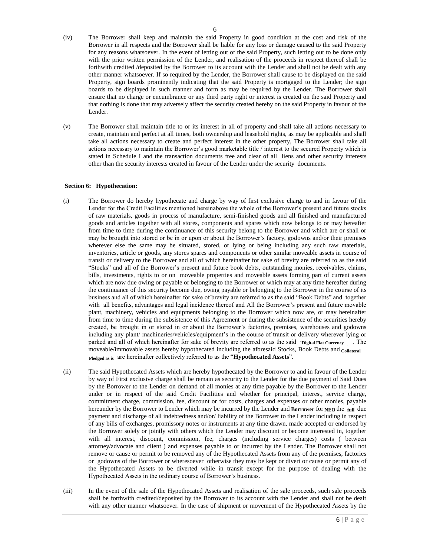- (iv) The Borrower shall keep and maintain the said Property in good condition at the cost and risk of the Borrower in all respects and the Borrower shall be liable for any loss or damage caused to the said Property for any reasons whatsoever. In the event of letting out of the said Property, such letting out to be done only with the prior written permission of the Lender, and realisation of the proceeds in respect thereof shall be forthwith credited /deposited by the Borrower to its account with the Lender and shall not be dealt with any other manner whatsoever. If so required by the Lender, the Borrower shall cause to be displayed on the said Property, sign boards prominently indicating that the said Property is mortgaged to the Lender; the sign boards to be displayed in such manner and form as may be required by the Lender. The Borrower shall ensure that no charge or encumbrance or any third party right or interest is created on the said Property and that nothing is done that may adversely affect the security created hereby on the said Property in favour of the Lender.
- (v) The Borrower shall maintain title to or its interest in all of property and shall take all actions necessary to create, maintain and perfect at all times, both ownership and leasehold rights, as may be applicable and shall take all actions necessary to create and perfect interest in the other property, The Borrower shall take all actions necessary to maintain the Borrower's good marketable title / interest to the secured Property which is stated in Schedule I and the transaction documents free and clear of all liens and other security interests other than the security interests created in favour of the Lender under the security documents.

## **Section 6: Hypothecation:**

- (i) The Borrower do hereby hypothecate and charge by way of first exclusive charge to and in favour of the Lender for the Credit Facilities mentioned hereinabove the whole of the Borrower's present and future stocks of raw materials, goods in process of manufacture, semi-finished goods and all finished and manufactured goods and articles together with all stores, components and spares which now belongs to or may hereafter from time to time during the continuance of this security belong to the Borrower and which are or shall or may be brought into stored or be in or upon or about the Borrower's factory, godowns and/or their premises wherever else the same may be situated, stored, or lying or being including any such raw materials, inventories, article or goods, any stores spares and components or other similar moveable assets in course of transit or delivery to the Borrower and all of which hereinafter for sake of brevity are referred to as the said "Stocks" and all of the Borrower's present and future book debts, outstanding monies, receivables, claims, bills, investments, rights to or on moveable properties and moveable assets forming part of current assets which are now due owing or payable or belonging to the Borrower or which may at any time hereafter during the continuance of this security become due, owing payable or belonging to the Borrower in the course of its business and all of which hereinafter for sake of brevity are referred to as the said "Book Debts" and together with all benefits, advantages and legal incidence thereof and All the Borrower's present and future movable plant, machinery, vehicles and equipments belonging to the Borrower which now are, or may hereinafter from time to time during the subsistence of this Agreement or during the subsistence of the securities hereby created, be brought in or stored in or about the Borrower's factories, premises, warehouses and godowns including any plant/ machineries/vehicles/equipment's in the course of transit or delivery wherever lying or parked and all of which hereinafter for sake of brevity are referred to as the said "Digital Fiat Currency". The moveable/immovable assets hereby hypothecated including the aforesaid Stocks, Book Debts and Collateral Pledged as is are hereinafter collectively referred to as the "**Hypothecated Assets**".
- (ii) The said Hypothecated Assets which are hereby hypothecated by the Borrower to and in favour of the Lender by way of First exclusive charge shall be remain as security to the Lender for the due payment of Said Dues by the Borrower to the Lender on demand of all monies at any time payable by the Borrower to the Lender under or in respect of the said Credit Facilities and whether for principal, interest, service charge, commitment charge, commission, fee, discount or for costs, charges and expenses or other monies, payable hereunder by the Borrower to Lender which may be incurred by the Lender and Borrower for NEO the full due payment and discharge of all indebtedness and/or/ liability of the Borrower to the Lender including in respect of any bills of exchanges, promissory notes or instruments at any time drawn, made accepted or endorsed by the Borrower solely or jointly with others which the Lender may discount or become interested in, together with all interest, discount, commission, fee, charges (including service charges) costs ( between attorney/advocate and client ) and expenses payable to or incurred by the Lender. The Borrower shall not remove or cause or permit to be removed any of the Hypothecated Assets from any of the premises, factories or godowns of the Borrower or wheresoever otherwise they may be kept or divert or cause or permit any of the Hypothecated Assets to be diverted while in transit except for the purpose of dealing with the Hypothecated Assets in the ordinary course of Borrower's business.
- (iii) In the event of the sale of the Hypothecated Assets and realisation of the sale proceeds, such sale proceeds shall be forthwith credited/deposited by the Borrower to its account with the Lender and shall not be dealt with any other manner whatsoever. In the case of shipment or movement of the Hypothecated Assets by the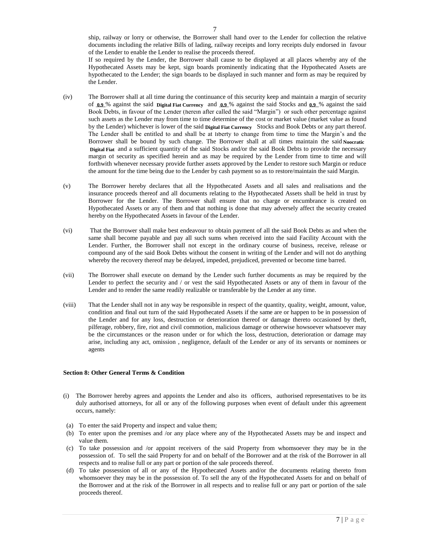ship, railway or lorry or otherwise, the Borrower shall hand over to the Lender for collection the relative documents including the relative Bills of lading, railway receipts and lorry receipts duly endorsed in favour of the Lender to enable the Lender to realise the proceeds thereof.

If so required by the Lender, the Borrower shall cause to be displayed at all places whereby any of the Hypothecated Assets may be kept, sign boards prominently indicating that the Hypothecated Assets are hypothecated to the Lender; the sign boards to be displayed in such manner and form as may be required by the Lender.

- (iv) The Borrower shall at all time during the continuance of this security keep and maintain a margin of security of  $_{0.9}$ % against the said Digital Fiat Currency and  $_{0.9}$ % against the said Stocks and  $_{0.9}$ % against the said Book Debts, in favour of the Lender (herein after called the said "Margin") or such other percentage against such assets as the Lender may from time to time determine of the cost or market value (market value as found by the Lender) whichever is lower of the said **Digital Fiat Currency** Stocks and Book Debts or any part thereof. The Lender shall be entitled to and shall be at liberty to change from time to time the Margin's and the Borrower shall be bound by such change. The Borrower shall at all times maintain the said Noocratic Digital Fiat and a sufficient quantity of the said Stocks and/or the said Book Debts to provide the necessary margin of security as specified herein and as may be required by the Lender from time to time and will forthwith whenever necessary provide further assets approved by the Lender to restore such Margin or reduce the amount for the time being due to the Lender by cash payment so as to restore/maintain the said Margin.
- (v) The Borrower hereby declares that all the Hypothecated Assets and all sales and realisations and the insurance proceeds thereof and all documents relating to the Hypothecated Assets shall be held in trust by Borrower for the Lender. The Borrower shall ensure that no charge or encumbrance is created on Hypothecated Assets or any of them and that nothing is done that may adversely affect the security created hereby on the Hypothecated Assets in favour of the Lender.
- (vi) That the Borrower shall make best endeavour to obtain payment of all the said Book Debts as and when the same shall become payable and pay all such sums when received into the said Facility Account with the Lender. Further, the Borrower shall not except in the ordinary course of business, receive, release or compound any of the said Book Debts without the consent in writing of the Lender and will not do anything whereby the recovery thereof may be delayed, impeded, prejudiced, prevented or become time barred.
- (vii) The Borrower shall execute on demand by the Lender such further documents as may be required by the Lender to perfect the security and / or vest the said Hypothecated Assets or any of them in favour of the Lender and to render the same readily realizable or transferable by the Lender at any time.
- (viii) That the Lender shall not in any way be responsible in respect of the quantity, quality, weight, amount, value, condition and final out turn of the said Hypothecated Assets if the same are or happen to be in possession of the Lender and for any loss, destruction or deterioration thereof or damage thereto occasioned by theft, pilferage, robbery, fire, riot and civil commotion, malicious damage or otherwise howsoever whatsoever may be the circumstances or the reason under or for which the loss, destruction, deterioration or damage may arise, including any act, omission , negligence, default of the Lender or any of its servants or nominees or agents

## **Section 8: Other General Terms & Condition**

- (i) The Borrower hereby agrees and appoints the Lender and also its officers, authorised representatives to be its duly authorised attorneys, for all or any of the following purposes when event of default under this agreement occurs, namely:
- (a) To enter the said Property and inspect and value them;
- (b) To enter upon the premises and /or any place where any of the Hypothecated Assets may be and inspect and value them.
- (c) To take possession and /or appoint receivers of the said Property from whomsoever they may be in the possession of. To sell the said Property for and on behalf of the Borrower and at the risk of the Borrower in all respects and to realise full or any part or portion of the sale proceeds thereof.
- (d) To take possession of all or any of the Hypothecated Assets and/or the documents relating thereto from whomsoever they may be in the possession of. To sell the any of the Hypothecated Assets for and on behalf of the Borrower and at the risk of the Borrower in all respects and to realise full or any part or portion of the sale proceeds thereof.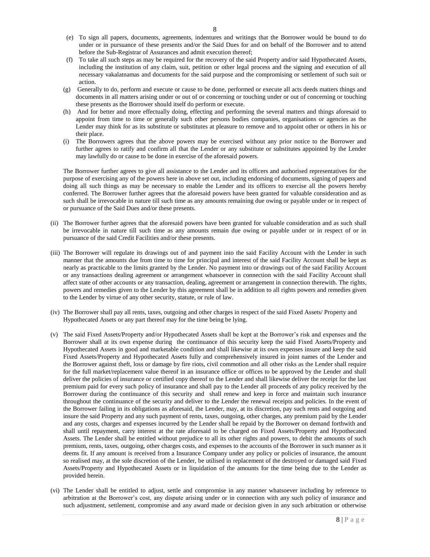- (e) To sign all papers, documents, agreements, indentures and writings that the Borrower would be bound to do under or in pursuance of these presents and/or the Said Dues for and on behalf of the Borrower and to attend before the Sub-Registrar of Assurances and admit execution thereof;
- (f) To take all such steps as may be required for the recovery of the said Property and/or said Hypothecated Assets, including the institution of any claim, suit, petition or other legal process and the signing and execution of all necessary vakalatnamas and documents for the said purpose and the compromising or settlement of such suit or action.
- (g) Generally to do, perform and execute or cause to be done, performed or execute all acts deeds matters things and documents in all matters arising under or out of or concerning or touching under or out of concerning or touching these presents as the Borrower should itself do perform or execute.
- (h) And for better and more effectually doing, effecting and performing the several matters and things aforesaid to appoint from time to time or generally such other persons bodies companies, organisations or agencies as the Lender may think for as its substitute or substitutes at pleasure to remove and to appoint other or others in his or their place.
- (i) The Borrowers agrees that the above powers may be exercised without any prior notice to the Borrower and further agrees to ratify and confirm all that the Lender or any substitute or substitutes appointed by the Lender may lawfully do or cause to be done in exercise of the aforesaid powers.

The Borrower further agrees to give all assistance to the Lender and its officers and authorised representatives for the purpose of exercising any of the powers here in above set out, including endorsing of documents, signing of papers and doing all such things as may be necessary to enable the Lender and its officers to exercise all the powers hereby conferred. The Borrower further agrees that the aforesaid powers have been granted for valuable consideration and as such shall be irrevocable in nature till such time as any amounts remaining due owing or payable under or in respect of or pursuance of the Said Dues and/or these presents.

- (ii) The Borrower further agrees that the aforesaid powers have been granted for valuable consideration and as such shall be irrevocable in nature till such time as any amounts remain due owing or payable under or in respect of or in pursuance of the said Credit Facilities and/or these presents.
- (iii) The Borrower will regulate its drawings out of and payment into the said Facility Account with the Lender in such manner that the amounts due from time to time for principal and interest of the said Facility Account shall be kept as nearly as practicable to the limits granted by the Lender. No payment into or drawings out of the said Facility Account or any transactions dealing agreement or arrangement whatsoever in connection with the said Facility Account shall affect state of other accounts or any transaction, dealing, agreement or arrangement in connection therewith. The rights, powers and remedies given to the Lender by this agreement shall be in addition to all rights powers and remedies given to the Lender by virtue of any other security, statute, or rule of law.
- (iv) The Borrower shall pay all rents, taxes, outgoing and other charges in respect of the said Fixed Assets/ Property and Hypothecated Assets or any part thereof may for the time being be lying.
- (v) The said Fixed Assets/Property and/or Hypothecated Assets shall be kept at the Borrower's risk and expenses and the Borrower shall at its own expense during the continuance of this security keep the said Fixed Assets/Property and Hypothecated Assets in good and marketable condition and shall likewise at its own expenses insure and keep the said Fixed Assets/Property and Hypothecated Assets fully and comprehensively insured in joint names of the Lender and the Borrower against theft, loss or damage by fire riots, civil commotion and all other risks as the Lender shall require for the full market/replacement value thereof in an insurance office or offices to be approved by the Lender and shall deliver the policies of insurance or certified copy thereof to the Lender and shall likewise deliver the receipt for the last premium paid for every such policy of insurance and shall pay to the Lender all proceeds of any policy received by the Borrower during the continuance of this security and shall renew and keep in force and maintain such insurance throughout the continuance of the security and deliver to the Lender the renewal receipts and policies. In the event of the Borrower failing in its obligations as aforesaid, the Lender, may, at its discretion, pay such rents and outgoing and insure the said Property and any such payment of rents, taxes, outgoing, other charges, any premium paid by the Lender and any costs, charges and expenses incurred by the Lender shall be repaid by the Borrower on demand forthwith and shall until repayment, carry interest at the rate aforesaid to be charged on Fixed Assets/Property and Hypothecated Assets. The Lender shall be entitled without prejudice to all its other rights and powers, to debit the amounts of such premium, rents, taxes, outgoing, other charges costs, and expenses to the accounts of the Borrower in such manner as it deems fit. If any amount is received from a Insurance Company under any policy or policies of insurance, the amount so realised may, at the sole discretion of the Lender, be utilised in replacement of the destroyed or damaged said Fixed Assets/Property and Hypothecated Assets or in liquidation of the amounts for the time being due to the Lender as provided herein.
- (vi) The Lender shall be entitled to adjust, settle and compromise in any manner whatsoever including by reference to arbitration at the Borrower's cost, any dispute arising under or in connection with any such policy of insurance and such adjustment, settlement, compromise and any award made or decision given in any such arbitration or otherwise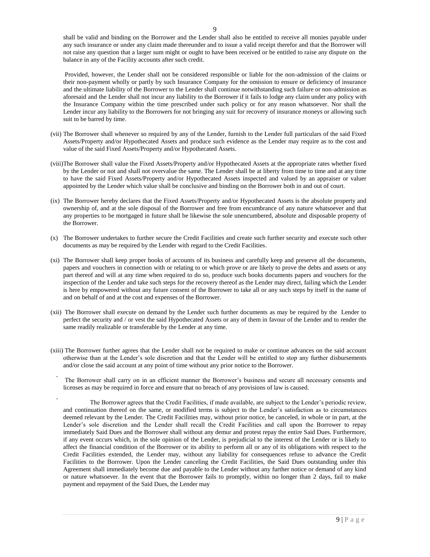shall be valid and binding on the Borrower and the Lender shall also be entitled to receive all monies payable under any such insurance or under any claim made thereunder and to issue a valid receipt therefor and that the Borrower will not raise any question that a larger sum might or ought to have been received or be entitled to raise any dispute on the balance in any of the Facility accounts after such credit.

Provided, however, the Lender shall not be considered responsible or liable for the non-admission of the claims or their non-payment wholly or partly by such Insurance Company for the omission to ensure or deficiency of insurance and the ultimate liability of the Borrower to the Lender shall continue notwithstanding such failure or non-admission as aforesaid and the Lender shall not incur any liability to the Borrower if it fails to lodge any claim under any policy with the Insurance Company within the time prescribed under such policy or for any reason whatsoever. Nor shall the Lender incur any liability to the Borrowers for not bringing any suit for recovery of insurance moneys or allowing such suit to be barred by time.

- (vii) The Borrower shall whenever so required by any of the Lender, furnish to the Lender full particulars of the said Fixed Assets/Property and/or Hypothecated Assets and produce such evidence as the Lender may require as to the cost and value of the said Fixed Assets/Property and/or Hypothecated Assets.
- (viii)The Borrower shall value the Fixed Assets/Property and/or Hypothecated Assets at the appropriate rates whether fixed by the Lender or not and shall not overvalue the same. The Lender shall be at liberty from time to time and at any time to have the said Fixed Assets/Property and/or Hypothecated Assets inspected and valued by an appraiser or valuer appointed by the Lender which value shall be conclusive and binding on the Borrower both in and out of court.
- (ix) The Borrower hereby declares that the Fixed Assets/Property and/or Hypothecated Assets is the absolute property and ownership of, and at the sole disposal of the Borrower and free from encumbrance of any nature whatsoever and that any properties to be mortgaged in future shall be likewise the sole unencumbered, absolute and disposable property of the Borrower.
- (x) The Borrower undertakes to further secure the Credit Facilities and create such further security and execute such other documents as may be required by the Lender with regard to the Credit Facilities.
- (xi) The Borrower shall keep proper books of accounts of its business and carefully keep and preserve all the documents, papers and vouchers in connection with or relating to or which prove or are likely to prove the debts and assets or any part thereof and will at any time when required to do so, produce such books documents papers and vouchers for the inspection of the Lender and take such steps for the recovery thereof as the Lender may direct, failing which the Lender is here by empowered without any future consent of the Borrower to take all or any such steps by itself in the name of and on behalf of and at the cost and expenses of the Borrower.
- (xii) The Borrower shall execute on demand by the Lender such further documents as may be required by the Lender to perfect the security and / or vest the said Hypothecated Assets or any of them in favour of the Lender and to render the same readily realizable or transferable by the Lender at any time.
- (xiii) The Borrower further agrees that the Lender shall not be required to make or continue advances on the said account otherwise than at the Lender's sole discretion and that the Lender will be entitled to stop any further disbursements and/or close the said account at any point of time without any prior notice to the Borrower.

The Borrower shall carry on in an efficient manner the Borrower's business and secure all necessary consents and licenses as may be required in force and ensure that no breach of any provisions of law is caused.

The Borrower agrees that the Credit Facilities, if made available, are subject to the Lender's periodic review, and continuation thereof on the same, or modified terms is subject to the Lender's satisfaction as to circumstances deemed relevant by the Lender. The Credit Facilities may, without prior notice, be canceled, in whole or in part, at the Lender's sole discretion and the Lender shall recall the Credit Facilities and call upon the Borrower to repay immediately Said Dues and the Borrower shall without any demur and protest repay the entire Said Dues. Furthermore, if any event occurs which, in the sole opinion of the Lender, is prejudicial to the interest of the Lender or is likely to affect the financial condition of the Borrower or its ability to perform all or any of its obligations with respect to the Credit Facilities extended, the Lender may, without any liability for consequences refuse to advance the Credit Facilities to the Borrower. Upon the Lender canceling the Credit Facilities, the Said Dues outstanding under this Agreement shall immediately become due and payable to the Lender without any further notice or demand of any kind or nature whatsoever. In the event that the Borrower fails to promptly, within no longer than 2 days, fail to make payment and repayment of the Said Dues, the Lender may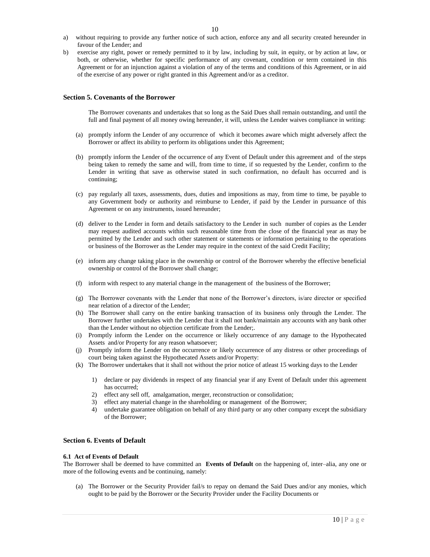- a) without requiring to provide any further notice of such action, enforce any and all security created hereunder in favour of the Lender; and
- b) exercise any right, power or remedy permitted to it by law, including by suit, in equity, or by action at law, or both, or otherwise, whether for specific performance of any covenant, condition or term contained in this Agreement or for an injunction against a violation of any of the terms and conditions of this Agreement, or in aid of the exercise of any power or right granted in this Agreement and/or as a creditor.

## **Section 5. Covenants of the Borrower**

The Borrower covenants and undertakes that so long as the Said Dues shall remain outstanding, and until the full and final payment of all money owing hereunder, it will, unless the Lender waives compliance in writing:

- (a) promptly inform the Lender of any occurrence of which it becomes aware which might adversely affect the Borrower or affect its ability to perform its obligations under this Agreement;
- (b) promptly inform the Lender of the occurrence of any Event of Default under this agreement and of the steps being taken to remedy the same and will, from time to time, if so requested by the Lender, confirm to the Lender in writing that save as otherwise stated in such confirmation, no default has occurred and is continuing;
- (c) pay regularly all taxes, assessments, dues, duties and impositions as may, from time to time, be payable to any Government body or authority and reimburse to Lender, if paid by the Lender in pursuance of this Agreement or on any instruments, issued hereunder;
- (d) deliver to the Lender in form and details satisfactory to the Lender in such number of copies as the Lender may request audited accounts within such reasonable time from the close of the financial year as may be permitted by the Lender and such other statement or statements or information pertaining to the operations or business of the Borrower as the Lender may require in the context of the said Credit Facility;
- (e) inform any change taking place in the ownership or control of the Borrower whereby the effective beneficial ownership or control of the Borrower shall change;
- (f) inform with respect to any material change in the management of the business of the Borrower;
- (g) The Borrower covenants with the Lender that none of the Borrower's directors, is/are director or specified near relation of a director of the Lender;
- (h) The Borrower shall carry on the entire banking transaction of its business only through the Lender. The Borrower further undertakes with the Lender that it shall not bank/maintain any accounts with any bank other than the Lender without no objection certificate from the Lender;.
- (i) Promptly inform the Lender on the occurrence or likely occurrence of any damage to the Hypothecated Assets and/or Property for any reason whatsoever;
- (j) Promptly inform the Lender on the occurrence or likely occurrence of any distress or other proceedings of court being taken against the Hypothecated Assets and/or Property:
- (k) The Borrower undertakes that it shall not without the prior notice of atleast 15 working days to the Lender
	- 1) declare or pay dividends in respect of any financial year if any Event of Default under this agreement has occurred;
	- 2) effect any sell off, amalgamation, merger, reconstruction or consolidation;
	- 3) effect any material change in the shareholding or management of the Borrower;
	- 4) undertake guarantee obligation on behalf of any third party or any other company except the subsidiary of the Borrower;

# **Section 6. Events of Default**

## **6.1 Act of Events of Default**

The Borrower shall be deemed to have committed an **Events of Default** on the happening of, inter–alia, any one or more of the following events and be continuing, namely:

(a) The Borrower or the Security Provider fail/s to repay on demand the Said Dues and/or any monies, which ought to be paid by the Borrower or the Security Provider under the Facility Documents or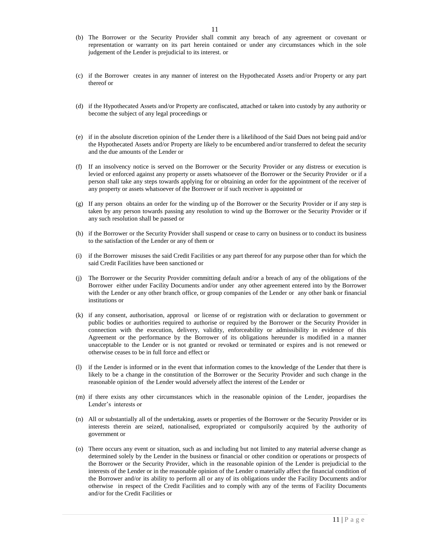- (b) The Borrower or the Security Provider shall commit any breach of any agreement or covenant or representation or warranty on its part herein contained or under any circumstances which in the sole judgement of the Lender is prejudicial to its interest. or
- (c) if the Borrower creates in any manner of interest on the Hypothecated Assets and/or Property or any part thereof or
- (d) if the Hypothecated Assets and/or Property are confiscated, attached or taken into custody by any authority or become the subject of any legal proceedings or
- (e) if in the absolute discretion opinion of the Lender there is a likelihood of the Said Dues not being paid and/or the Hypothecated Assets and/or Property are likely to be encumbered and/or transferred to defeat the security and the due amounts of the Lender or
- (f) If an insolvency notice is served on the Borrower or the Security Provider or any distress or execution is levied or enforced against any property or assets whatsoever of the Borrower or the Security Provider or if a person shall take any steps towards applying for or obtaining an order for the appointment of the receiver of any property or assets whatsoever of the Borrower or if such receiver is appointed or
- (g) If any person obtains an order for the winding up of the Borrower or the Security Provider or if any step is taken by any person towards passing any resolution to wind up the Borrower or the Security Provider or if any such resolution shall be passed or
- (h) if the Borrower or the Security Provider shall suspend or cease to carry on business or to conduct its business to the satisfaction of the Lender or any of them or
- (i) if the Borrower misuses the said Credit Facilities or any part thereof for any purpose other than for which the said Credit Facilities have been sanctioned or
- (j) The Borrower or the Security Provider committing default and/or a breach of any of the obligations of the Borrower either under Facility Documents and/or under any other agreement entered into by the Borrower with the Lender or any other branch office, or group companies of the Lender or any other bank or financial institutions or
- (k) if any consent, authorisation, approval or license of or registration with or declaration to government or public bodies or authorities required to authorise or required by the Borrower or the Security Provider in connection with the execution, delivery, validity, enforceability or admissibility in evidence of this Agreement or the performance by the Borrower of its obligations hereunder is modified in a manner unacceptable to the Lender or is not granted or revoked or terminated or expires and is not renewed or otherwise ceases to be in full force and effect or
- (l) if the Lender is informed or in the event that information comes to the knowledge of the Lender that there is likely to be a change in the constitution of the Borrower or the Security Provider and such change in the reasonable opinion of the Lender would adversely affect the interest of the Lender or
- (m) if there exists any other circumstances which in the reasonable opinion of the Lender, jeopardises the Lender's interests or
- (n) All or substantially all of the undertaking, assets or properties of the Borrower or the Security Provider or its interests therein are seized, nationalised, expropriated or compulsorily acquired by the authority of government or
- (o) There occurs any event or situation, such as and including but not limited to any material adverse change as determined solely by the Lender in the business or financial or other condition or operations or prospects of the Borrower or the Security Provider, which in the reasonable opinion of the Lender is prejudicial to the interests of the Lender or in the reasonable opinion of the Lender o materially affect the financial condition of the Borrower and/or its ability to perform all or any of its obligations under the Facility Documents and/or otherwise in respect of the Credit Facilities and to comply with any of the terms of Facility Documents and/or for the Credit Facilities or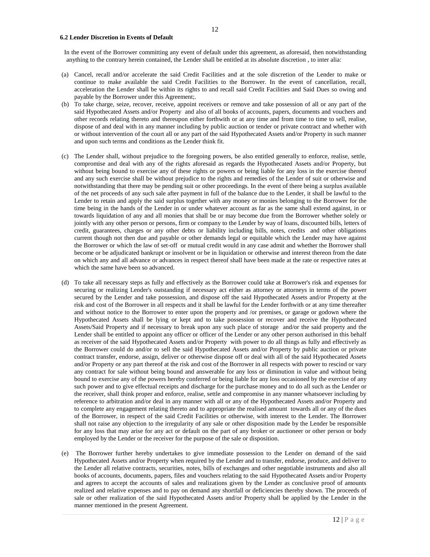#### **6.2 Lender Discretion in Events of Default**

 In the event of the Borrower committing any event of default under this agreement, as aforesaid, then notwithstanding anything to the contrary herein contained, the Lender shall be entitled at its absolute discretion , to inter alia:

- (a) Cancel, recall and/or accelerate the said Credit Facilities and at the sole discretion of the Lender to make or continue to make available the said Credit Facilities to the Borrower. In the event of cancellation, recall, acceleration the Lender shall be within its rights to and recall said Credit Facilities and Said Dues so owing and payable by the Borrower under this Agreement;.
- (b) To take charge, seize, recover, receive, appoint receivers or remove and take possession of all or any part of the said Hypothecated Assets and/or Property and also of all books of accounts, papers, documents and vouchers and other records relating thereto and thereupon either forthwith or at any time and from time to time to sell, realise, dispose of and deal with in any manner including by public auction or tender or private contract and whether with or without intervention of the court all or any part of the said Hypothecated Assets and/or Property in such manner and upon such terms and conditions as the Lender think fit.
- (c) The Lender shall, without prejudice to the foregoing powers, be also entitled generally to enforce, realise, settle, compromise and deal with any of the rights aforesaid as regards the Hypothecated Assets and/or Property, but without being bound to exercise any of these rights or powers or being liable for any loss in the exercise thereof and any such exercise shall be without prejudice to the rights and remedies of the Lender of suit or otherwise and notwithstanding that there may be pending suit or other proceedings. In the event of there being a surplus available of the net proceeds of any such sale after payment in full of the balance due to the Lender, it shall be lawful to the Lender to retain and apply the said surplus together with any money or monies belonging to the Borrower for the time being in the hands of the Lender in or under whatever account as far as the same shall extend against, in or towards liquidation of any and all monies that shall be or may become due from the Borrower whether solely or jointly with any other person or persons, firm or company to the Lender by way of loans, discounted bills, letters of credit, guarantees, charges or any other debts or liability including bills, notes, credits and other obligations current though not then due and payable or other demands legal or equitable which the Lender may have against the Borrower or which the law of set-off or mutual credit would in any case admit and whether the Borrower shall become or be adjudicated bankrupt or insolvent or be in liquidation or otherwise and interest thereon from the date on which any and all advance or advances in respect thereof shall have been made at the rate or respective rates at which the same have been so advanced.
- (d) To take all necessary steps as fully and effectively as the Borrower could take at Borrower's risk and expenses for securing or realizing Lender's outstanding if necessary act either as attorney or attorneys in terms of the power secured by the Lender and take possession, and dispose off the said Hypothecated Assets and/or Property at the risk and cost of the Borrower in all respects and it shall be lawful for the Lender forthwith or at any time thereafter and without notice to the Borrower to enter upon the property and /or premises, or garage or godown where the Hypothecated Assets shall be lying or kept and to take possession or recover and receive the Hypothecated Assets/Said Property and if necessary to break upon any such place of storage and/or the said property and the Lender shall be entitled to appoint any officer or officer of the Lender or any other person authorised in this behalf as receiver of the said Hypothecated Assets and/or Property with power to do all things as fully and effectively as the Borrower could do and/or to sell the said Hypothecated Assets and/or Property by public auction or private contract transfer, endorse, assign, deliver or otherwise dispose off or deal with all of the said Hypothecated Assets and/or Property or any part thereof at the risk and cost of the Borrower in all respects with power to rescind or vary any contract for sale without being bound and answerable for any loss or diminution in value and without being bound to exercise any of the powers hereby conferred or being liable for any loss occasioned by the exercise of any such power and to give effectual receipts and discharge for the purchase money and to do all such as the Lender or the receiver, shall think proper and enforce, realise, settle and compromise in any manner whatsoever including by reference to arbitration and/or deal in any manner with all or any of the Hypothecated Assets and/or Property and to complete any engagement relating thereto and to appropriate the realised amount towards all or any of the dues of the Borrower, in respect of the said Credit Facilities or otherwise, with interest to the Lender. The Borrower shall not raise any objection to the irregularity of any sale or other disposition made by the Lender be responsible for any loss that may arise for any act or default on the part of any broker or auctioneer or other person or body employed by the Lender or the receiver for the purpose of the sale or disposition.
- (e) The Borrower further hereby undertakes to give immediate possession to the Lender on demand of the said Hypothecated Assets and/or Property when required by the Lender and to transfer, endorse, produce, and deliver to the Lender all relative contracts, securities, notes, bills of exchanges and other negotiable instruments and also all books of accounts, documents, papers, files and vouchers relating to the said Hypothecated Assets and/or Property and agrees to accept the accounts of sales and realizations given by the Lender as conclusive proof of amounts realized and relative expenses and to pay on demand any shortfall or deficiencies thereby shown. The proceeds of sale or other realization of the said Hypothecated Assets and/or Property shall be applied by the Lender in the manner mentioned in the present Agreement.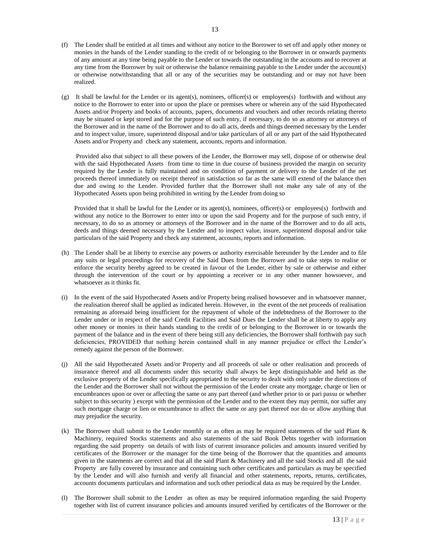- (f) The Lender shall be entitled at all times and without any notice to the Borrower to set off and apply other money or monies in the hands of the Lender standing to the credit of or belonging to the Borrower in or onwards payments of any amount at any time being payable to the Lender or towards the outstanding in the accounts and to recover at any time from the Borrower by suit or otherwise the balance remaining payable to the Lender under the account(s) or otherwise notwithstanding that all or any of the securities may be outstanding and or may not have been realized.
- (g) It shall be lawful for the Lender or its agent(s), nominees, officer(s) or employees(s) forthwith and without any notice to the Borrower to enter into or upon the place or premises where or wherein any of the said Hypothecated Assets and/or Property and books of accounts, papers, documents and vouchers and other records relating thereto may be situated or kept stored and for the purpose of such entry, if necessary, to do so as attorney or attorneys of the Borrower and in the name of the Borrower and to do all acts, deeds and things deemed necessary by the Lender and to inspect value, insure, superintend disposal and/or take particulars of all or any part of the said Hypothecated Assets and/or Property and check any statement, accounts, reports and information.

Provided also that subject to all these powers of the Lender, the Borrower may sell, dispose of or otherwise deal with the said Hypothecated Assets from time to time in due course of business provided the margin on security required by the Lender is fully maintained and on condition of payment or delivery to the Lender of the net proceeds thereof immediately on receipt thereof in satisfaction so far as the same will extend of the balance then due and owing to the Lender. Provided further that the Borrower shall not make any sale of any of the Hypothecated Assets upon being prohibited in writing by the Lender from doing so

Provided that it shall be lawful for the Lender or its agent(s), nominees, officer(s) or employees(s) forthwith and without any notice to the Borrower to enter into or upon the said Property and for the purpose of such entry, if necessary, to do so as attorney or attorneys of the Borrower and in the name of the Borrower and to do all acts, deeds and things deemed necessary by the Lender and to inspect value, insure, superintend disposal and/or take particulars of the said Property and check any statement, accounts, reports and information.

- (h) The Lender shall be at liberty to exercise any powers or authority exercisable hereunder by the Lender and to file any suits or legal proceedings for recovery of the Said Dues from the Borrower and to take steps to realise or enforce the security hereby agreed to be created in favour of the Lender, either by sale or otherwise and either through the intervention of the court or by appointing a receiver or in any other manner howsoever, and whatsoever as it thinks fit.
- (i) In the event of the said Hypothecated Assets and/or Property being realised howsoever and in whatsoever manner, the realisation thereof shall be applied as indicated herein. However, in the event of the net proceeds of realisation remaining as aforesaid being insufficient for the repayment of whole of the indebtedness of the Borrower to the Lender under or in respect of the said Credit Facilities and Said Dues the Lender shall be at liberty to apply any other money or monies in their hands standing to the credit of or belonging to the Borrower in or towards the payment of the balance and in the event of there being still any deficiencies, the Borrower shall forthwith pay such deficiencies, PROVIDED that nothing herein contained shall in any manner prejudice or effect the Lender's remedy against the person of the Borrower.
- (j) All the said Hypothecated Assets and/or Property and all proceeds of sale or other realisation and proceeds of insurance thereof and all documents under this security shall always be kept distinguishable and held as the exclusive property of the Lender specifically appropriated to the security to dealt with only under the directions of the Lender and the Borrower shall not without the permission of the Lender create any mortgage, charge or lien or encumbrances upon or over or affecting the same or any part thereof (and whether prior to or pari passu or whether subject to this security ) except with the permission of the Lender and to the extent they may permit, nor suffer any such mortgage charge or lien or encumbrance to affect the same or any part thereof nor do or allow anything that may prejudice the security.
- (k) The Borrower shall submit to the Lender monthly or as often as may be required statements of the said Plant  $\&$ Machinery, required Stocks statements and also statements of the said Book Debts together with information regarding the said property on details of with lists of current insurance policies and amounts insured verified by certificates of the Borrower or the manager for the time being of the Borrower that the quantities and amounts given in the statements are correct and that all the said Plant & Machinery and all the said Stocks and all the said Property are fully covered by insurance and containing such other certificates and particulars as may be specified by the Lender and will also furnish and verify all financial and other statements, reports, returns, certificates, accounts documents particulars and information and such other periodical data as may be required by the Lender.
- (l) The Borrower shall submit to the Lender as often as may be required information regarding the said Property together with list of current insurance policies and amounts insured verified by certificates of the Borrower or the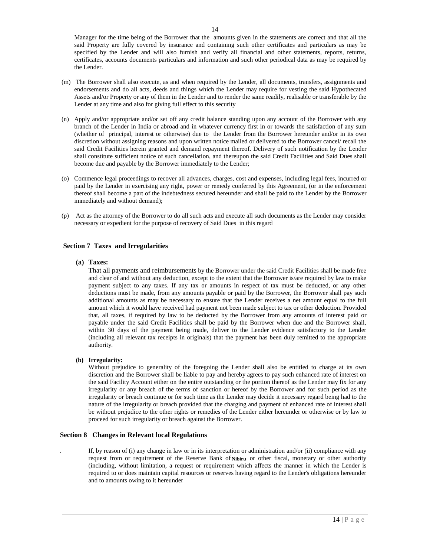Manager for the time being of the Borrower that the amounts given in the statements are correct and that all the said Property are fully covered by insurance and containing such other certificates and particulars as may be specified by the Lender and will also furnish and verify all financial and other statements, reports, returns, certificates, accounts documents particulars and information and such other periodical data as may be required by the Lender.

- (m) The Borrower shall also execute, as and when required by the Lender, all documents, transfers, assignments and endorsements and do all acts, deeds and things which the Lender may require for vesting the said Hypothecated Assets and/or Property or any of them in the Lender and to render the same readily, realisable or transferable by the Lender at any time and also for giving full effect to this security
- (n) Apply and/or appropriate and/or set off any credit balance standing upon any account of the Borrower with any branch of the Lender in India or abroad and in whatever currency first in or towards the satisfaction of any sum (whether of principal, interest or otherwise) due to the Lender from the Borrower hereunder and/or in its own discretion without assigning reasons and upon written notice mailed or delivered to the Borrower cancel/ recall the said Credit Facilities herein granted and demand repayment thereof. Delivery of such notification by the Lender shall constitute sufficient notice of such cancellation, and thereupon the said Credit Facilities and Said Dues shall become due and payable by the Borrower immediately to the Lender;
- (o) Commence legal proceedings to recover all advances, charges, cost and expenses, including legal fees, incurred or paid by the Lender in exercising any right, power or remedy conferred by this Agreement, (or in the enforcement thereof shall become a part of the indebtedness secured hereunder and shall be paid to the Lender by the Borrower immediately and without demand);
- (p) Act as the attorney of the Borrower to do all such acts and execute all such documents as the Lender may consider necessary or expedient for the purpose of recovery of Said Dues in this regard

## **Section 7 Taxes and Irregularities**

## **(a) Taxes:**

That all payments and reimbursements by the Borrower under the said Credit Facilities shall be made free and clear of and without any deduction, except to the extent that the Borrower is/are required by law to make payment subject to any taxes. If any tax or amounts in respect of tax must be deducted, or any other deductions must be made, from any amounts payable or paid by the Borrower, the Borrower shall pay such additional amounts as may be necessary to ensure that the Lender receives a net amount equal to the full amount which it would have received had payment not been made subject to tax or other deduction. Provided that, all taxes, if required by law to be deducted by the Borrower from any amounts of interest paid or payable under the said Credit Facilities shall be paid by the Borrower when due and the Borrower shall, within 30 days of the payment being made, deliver to the Lender evidence satisfactory to the Lender (including all relevant tax receipts in originals) that the payment has been duly remitted to the appropriate authority.

## **(b) Irregularity:**

Without prejudice to generality of the foregoing the Lender shall also be entitled to charge at its own discretion and the Borrower shall be liable to pay and hereby agrees to pay such enhanced rate of interest on the said Facility Account either on the entire outstanding or the portion thereof as the Lender may fix for any irregularity or any breach of the terms of sanction or hereof by the Borrower and for such period as the irregularity or breach continue or for such time as the Lender may decide it necessary regard being had to the nature of the irregularity or breach provided that the charging and payment of enhanced rate of interest shall be without prejudice to the other rights or remedies of the Lender either hereunder or otherwise or by law to proceed for such irregularity or breach against the Borrower.

## **Section 8 Changes in Relevant local Regulations**

. If, by reason of (i) any change in law or in its interpretation or administration and/or (ii) compliance with any request from or requirement of the Reserve Bank of Nibiru or other fiscal, monetary or other authority (including, without limitation, a request or requirement which affects the manner in which the Lender is required to or does maintain capital resources or reserves having regard to the Lender's obligations hereunder and to amounts owing to it hereunder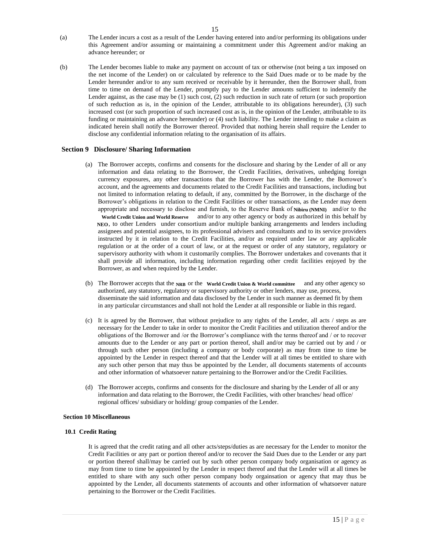- (a) The Lender incurs a cost as a result of the Lender having entered into and/or performing its obligations under this Agreement and/or assuming or maintaining a commitment under this Agreement and/or making an advance hereunder; or
- (b) The Lender becomes liable to make any payment on account of tax or otherwise (not being a tax imposed on the net income of the Lender) on or calculated by reference to the Said Dues made or to be made by the Lender hereunder and/or to any sum received or receivable by it hereunder, then the Borrower shall, from time to time on demand of the Lender, promptly pay to the Lender amounts sufficient to indemnify the Lender against, as the case may be (1) such cost, (2) such reduction in such rate of return (or such proportion of such reduction as is, in the opinion of the Lender, attributable to its obligations hereunder), (3) such increased cost (or such proportion of such increased cost as is, in the opinion of the Lender, attributable to its funding or maintaining an advance hereunder) or (4) such liability. The Lender intending to make a claim as indicated herein shall notify the Borrower thereof. Provided that nothing herein shall require the Lender to disclose any confidential information relating to the organisation of its affairs.

# **Section 9 Disclosure/ Sharing Information**

(a) The Borrower accepts, confirms and consents for the disclosure and sharing by the Lender of all or any information and data relating to the Borrower, the Credit Facilities, derivatives, unhedging foreign currency exposures, any other transactions that the Borrower has with the Lender, the Borrower's account, and the agreements and documents related to the Credit Facilities and transactions, including but not limited to information relating to default, if any, committed by the Borrower, in the discharge of the Borrower's obligations in relation to the Credit Facilities or other transactions, as the Lender may deem appropriate and necessary to disclose and furnish, to the Reserve Bank of Nibiru (NMNI) and/or to the World Credit Union and World Reserve and/or to any other agency or body as authorized in this behalf by

NEO, to other Lenders under consortium and/or multiple banking arrangements and lenders including assignees and potential assignees, to its professional advisers and consultants and to its service providers instructed by it in relation to the Credit Facilities, and/or as required under law or any applicable regulation or at the order of a court of law, or at the request or order of any statutory, regulatory or supervisory authority with whom it customarily complies. The Borrower undertakes and covenants that it shall provide all information, including information regarding other credit facilities enjoyed by the Borrower, as and when required by the Lender.

- (b) The Borrower accepts that the NRB or the World Credit Union & World committee and any other agency so authorized, any statutory, regulatory or supervisory authority or other lenders, may use, process, disseminate the said information and data disclosed by the Lender in such manner as deemed fit by them in any particular circumstances and shall not hold the Lender at all responsible or liable in this regard.
- (c) It is agreed by the Borrower, that without prejudice to any rights of the Lender, all acts / steps as are necessary for the Lender to take in order to monitor the Credit Facilities and utilization thereof and/or the obligations of the Borrower and /or the Borrower's compliance with the terms thereof and / or to recover amounts due to the Lender or any part or portion thereof, shall and/or may be carried out by and / or through such other person (including a company or body corporate) as may from time to time be appointed by the Lender in respect thereof and that the Lender will at all times be entitled to share with any such other person that may thus be appointed by the Lender, all documents statements of accounts and other information of whatsoever nature pertaining to the Borrower and/or the Credit Facilities.
- (d) The Borrower accepts, confirms and consents for the disclosure and sharing by the Lender of all or any information and data relating to the Borrower, the Credit Facilities, with other branches/ head office/ regional offices/ subsidiary or holding/ group companies of the Lender.

## **Section 10 Miscellaneous**

## **10.1 Credit Rating**

It is agreed that the credit rating and all other acts/steps/duties as are necessary for the Lender to monitor the Credit Facilities or any part or portion thereof and/or to recover the Said Dues due to the Lender or any part or portion thereof shall/may be carried out by such other person company body organisation or agency as may from time to time be appointed by the Lender in respect thereof and that the Lender will at all times be entitled to share with any such other person company body orgainsation or agency that may thus be appointed by the Lender, all documents statements of accounts and other information of whatsoever nature pertaining to the Borrower or the Credit Facilities.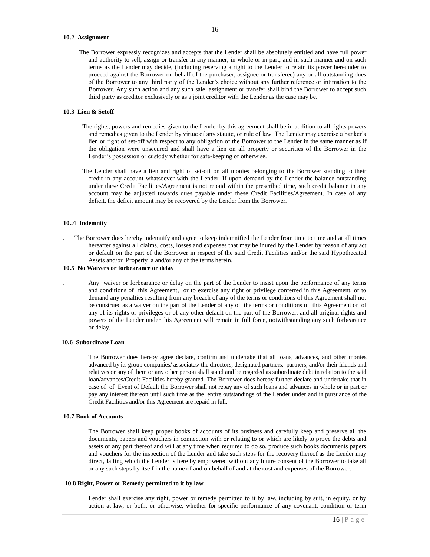## **10.2 Assignment**

 The Borrower expressly recognizes and accepts that the Lender shall be absolutely entitled and have full power and authority to sell, assign or transfer in any manner, in whole or in part, and in such manner and on such terms as the Lender may decide, (including reserving a right to the Lender to retain its power hereunder to proceed against the Borrower on behalf of the purchaser, assignee or transferee) any or all outstanding dues of the Borrower to any third party of the Lender's choice without any further reference or intimation to the Borrower. Any such action and any such sale, assignment or transfer shall bind the Borrower to accept such third party as creditor exclusively or as a joint creditor with the Lender as the case may be.

# **10.3 Lien & Setoff**

- The rights, powers and remedies given to the Lender by this agreement shall be in addition to all rights powers and remedies given to the Lender by virtue of any statute, or rule of law. The Lender may exercise a banker's lien or right of set-off with respect to any obligation of the Borrower to the Lender in the same manner as if the obligation were unsecured and shall have a lien on all property or securities of the Borrower in the Lender's possession or custody whether for safe-keeping or otherwise.
- The Lender shall have a lien and right of set-off on all monies belonging to the Borrower standing to their credit in any account whatsoever with the Lender. If upon demand by the Lender the balance outstanding under these Credit Facilities/Agreement is not repaid within the prescribed time, such credit balance in any account may be adjusted towards dues payable under these Credit Facilities/Agreement. In case of any deficit, the deficit amount may be recovered by the Lender from the Borrower.

#### **10..4 Indemnity**

**.** The Borrower does hereby indemnify and agree to keep indemnified the Lender from time to time and at all times hereafter against all claims, costs, losses and expenses that may be inured by the Lender by reason of any act or default on the part of the Borrower in respect of the said Credit Facilities and/or the said Hypothecated Assets and/or Property a and/or any of the terms herein.

# **10.5 No Waivers or forbearance or delay**

**.** Any waiver or forbearance or delay on the part of the Lender to insist upon the performance of any terms and conditions of this Agreement, or to exercise any right or privilege conferred in this Agreement, or to demand any penalties resulting from any breach of any of the terms or conditions of this Agreement shall not be construed as a waiver on the part of the Lender of any of the terms or conditions of this Agreement or of any of its rights or privileges or of any other default on the part of the Borrower, and all original rights and powers of the Lender under this Agreement will remain in full force, notwithstanding any such forbearance or delay.

## **10.6 Subordinate Loan**

The Borrower does hereby agree declare, confirm and undertake that all loans, advances, and other monies advanced by its group companies/ associates/ the directors, designated partners, partners, and/or their friends and relatives or any of them or any other person shall stand and be regarded as subordinate debt in relation to the said loan/advances/Credit Facilities hereby granted. The Borrower does hereby further declare and undertake that in case of of Event of Default the Borrower shall not repay any of such loans and advances in whole or in part or pay any interest thereon until such time as the entire outstandings of the Lender under and in pursuance of the Credit Facilities and/or this Agreement are repaid in full.

#### **10.7 Book of Accounts**

The Borrower shall keep proper books of accounts of its business and carefully keep and preserve all the documents, papers and vouchers in connection with or relating to or which are likely to prove the debts and assets or any part thereof and will at any time when required to do so, produce such books documents papers and vouchers for the inspection of the Lender and take such steps for the recovery thereof as the Lender may direct, failing which the Lender is here by empowered without any future consent of the Borrower to take all or any such steps by itself in the name of and on behalf of and at the cost and expenses of the Borrower.

## **10.8 Right, Power or Remedy permitted to it by law**

Lender shall exercise any right, power or remedy permitted to it by law, including by suit, in equity, or by action at law, or both, or otherwise, whether for specific performance of any covenant, condition or term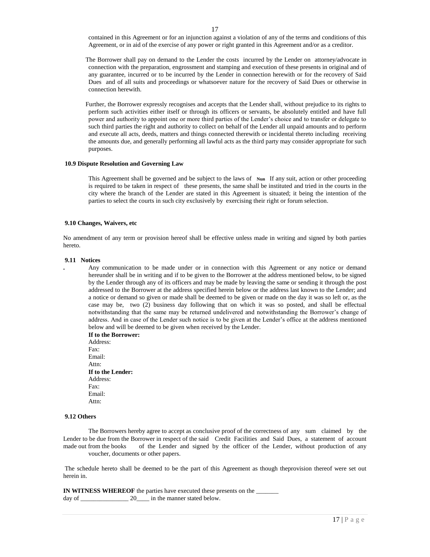contained in this Agreement or for an injunction against a violation of any of the terms and conditions of this Agreement, or in aid of the exercise of any power or right granted in this Agreement and/or as a creditor.

 The Borrower shall pay on demand to the Lender the costs incurred by the Lender on attorney/advocate in connection with the preparation, engrossment and stamping and execution of these presents in original and of any guarantee, incurred or to be incurred by the Lender in connection herewith or for the recovery of Said Dues and of all suits and proceedings or whatsoever nature for the recovery of Said Dues or otherwise in connection herewith.

 Further, the Borrower expressly recognises and accepts that the Lender shall, without prejudice to its rights to perform such activities either itself or through its officers or servants, be absolutely entitled and have full power and authority to appoint one or more third parties of the Lender's choice and to transfer or delegate to such third parties the right and authority to collect on behalf of the Lender all unpaid amounts and to perform and execute all acts, deeds, matters and things connected therewith or incidental thereto including receiving the amounts due, and generally performing all lawful acts as the third party may consider appropriate for such purposes.

#### **10.9 Dispute Resolution and Governing Law**

This Agreement shall be governed and be subject to the laws of Nun If any suit, action or other proceeding is required to be taken in respect of these presents, the same shall be instituted and tried in the courts in the city where the branch of the Lender are stated in this Agreement is situated; it being the intention of the parties to select the courts in such city exclusively by exercising their right or forum selection.

#### **9.10 Changes, Waivers, etc**

No amendment of any term or provision hereof shall be effective unless made in writing and signed by both parties hereto.

#### **9.11 Notices**

**.** Any communication to be made under or in connection with this Agreement or any notice or demand hereunder shall be in writing and if to be given to the Borrower at the address mentioned below, to be signed by the Lender through any of its officers and may be made by leaving the same or sending it through the post addressed to the Borrower at the address specified herein below or the address last known to the Lender; and a notice or demand so given or made shall be deemed to be given or made on the day it was so left or, as the case may be, two (2) business day following that on which it was so posted, and shall be effectual notwithstanding that the same may be returned undelivered and notwithstanding the Borrower's change of address. And in case of the Lender such notice is to be given at the Lender's office at the address mentioned below and will be deemed to be given when received by the Lender.

**If to the Borrower:** Address: Fax: Email: Attn: **If to the Lender:**  Address: Fax: Email: Attn:

## **9.12 Others**

The Borrowers hereby agree to accept as conclusive proof of the correctness of any sum claimed by the Lender to be due from the Borrower in respect of the said Credit Facilities and Said Dues, a statement of account made out from the books of the Lender and signed by the officer of the Lender, without production of any voucher, documents or other papers.

The schedule hereto shall be deemed to be the part of this Agreement as though theprovision thereof were set out herein in.

**IN WITNESS WHEREOF** the parties have executed these presents on the \_\_\_\_\_\_\_ day of \_\_\_\_\_\_\_\_\_\_\_\_\_\_\_\_\_\_\_\_\_\_\_ 20\_\_\_\_\_ in the manner stated below.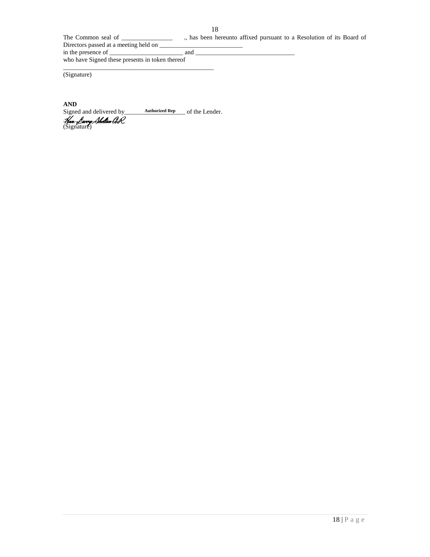The Common seal of \_\_\_\_\_\_\_\_\_\_\_\_\_\_\_\_ ., has been hereunto affixed pursuant to a Resolution of its Board of Directors passed at a meeting held on  $\_\_$ in the presence of \_\_\_\_\_\_\_\_\_\_\_\_\_\_\_\_\_\_\_\_\_\_\_ and \_\_\_\_\_\_\_\_\_\_\_\_\_\_\_\_\_\_\_\_\_\_\_\_\_\_\_\_\_\_\_

who have Signed these presents in token thereof

(Signature)

**AND**<br>Signed and delivered by Signed and delivered by **Authorized Rep** of the Lender. Hon Parry Shalton A. *Hon. Larry Shelton A.R.*<br>(Signature)

\_\_\_\_\_\_\_\_\_\_\_\_\_\_\_\_\_\_\_\_\_\_\_\_\_\_\_\_\_\_\_\_\_\_\_\_\_\_\_\_\_\_\_\_\_\_\_